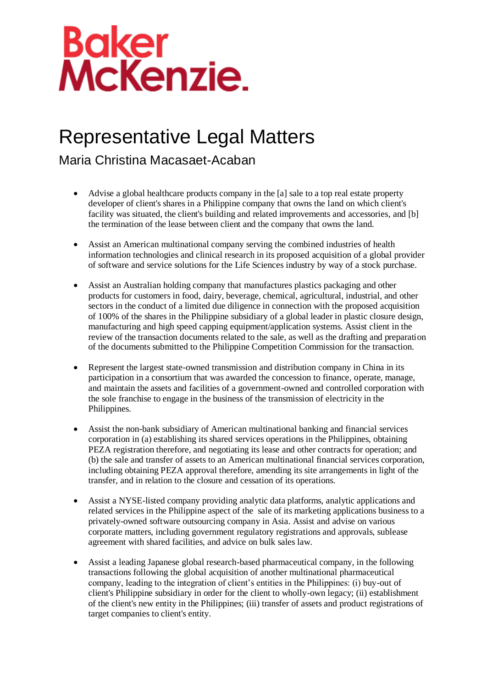## Baker<br>McKenzie.

## Representative Legal Matters

Maria Christina Macasaet-Acaban

- Advise a global healthcare products company in the [a] sale to a top real estate property developer of client's shares in a Philippine company that owns the land on which client's facility was situated, the client's building and related improvements and accessories, and [b] the termination of the lease between client and the company that owns the land.
- Assist an American multinational company serving the combined industries of health information technologies and clinical research in its proposed acquisition of a global provider of software and service solutions for the Life Sciences industry by way of a stock purchase.
- Assist an Australian holding company that manufactures plastics packaging and other products for customers in food, dairy, beverage, chemical, agricultural, industrial, and other sectors in the conduct of a limited due diligence in connection with the proposed acquisition of 100% of the shares in the Philippine subsidiary of a global leader in plastic closure design, manufacturing and high speed capping equipment/application systems. Assist client in the review of the transaction documents related to the sale, as well as the drafting and preparation of the documents submitted to the Philippine Competition Commission for the transaction.
- Represent the largest state-owned transmission and distribution company in China in its participation in a consortium that was awarded the concession to finance, operate, manage, and maintain the assets and facilities of a government-owned and controlled corporation with the sole franchise to engage in the business of the transmission of electricity in the Philippines.
- Assist the non-bank subsidiary of American multinational banking and financial services corporation in (a) establishing its shared services operations in the Philippines, obtaining PEZA registration therefore, and negotiating its lease and other contracts for operation; and (b) the sale and transfer of assets to an American multinational financial services corporation, including obtaining PEZA approval therefore, amending its site arrangements in light of the transfer, and in relation to the closure and cessation of its operations.
- Assist a NYSE-listed company providing analytic data platforms, analytic applications and related services in the Philippine aspect of the sale of its marketing applications business to a privately-owned software outsourcing company in Asia. Assist and advise on various corporate matters, including government regulatory registrations and approvals, sublease agreement with shared facilities, and advice on bulk sales law.
- Assist a leading Japanese global research-based pharmaceutical company, in the following transactions following the global acquisition of another multinational pharmaceutical company, leading to the integration of client's entities in the Philippines: (i) buy-out of client's Philippine subsidiary in order for the client to wholly-own legacy; (ii) establishment of the client's new entity in the Philippines; (iii) transfer of assets and product registrations of target companies to client's entity.